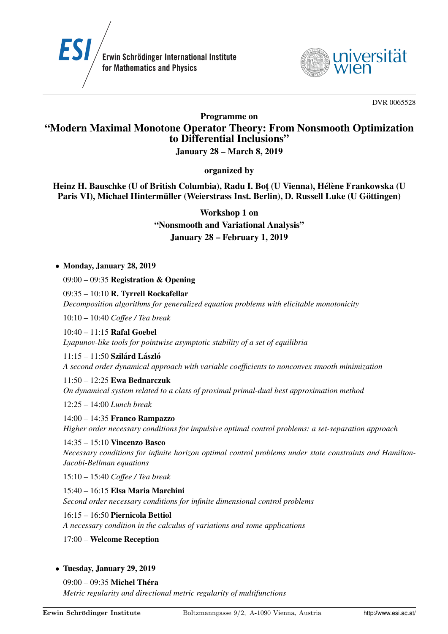



DVR 0065528

Programme on

# "Modern Maximal Monotone Operator Theory: From Nonsmooth Optimization to Differential Inclusions"

## January 28 – March 8, 2019

organized by

Heinz H. Bauschke (U of British Columbia), Radu I. Bot (U Vienna), Hélène Frankowska (U Paris VI), Michael Hintermüller (Weierstrass Inst. Berlin), D. Russell Luke (U Göttingen)

Workshop 1 on

"Nonsmooth and Variational Analysis" January 28 – February 1, 2019

• Monday, January 28, 2019

09:00 – 09:35 Registration & Opening

09:35 – 10:10 R. Tyrrell Rockafellar *Decomposition algorithms for generalized equation problems with elicitable monotonicity*

10:10 – 10:40 *Coffee / Tea break*

10:40 – 11:15 Rafal Goebel *Lyapunov-like tools for pointwise asymptotic stability of a set of equilibria*

 $11:15 - 11:50$  Szilárd László *A second order dynamical approach with variable coefficients to nonconvex smooth minimization*

11:50 – 12:25 Ewa Bednarczuk *On dynamical system related to a class of proximal primal-dual best approximation method*

12:25 – 14:00 *Lunch break*

14:00 – 14:35 Franco Rampazzo *Higher order necessary conditions for impulsive optimal control problems: a set-separation approach*

14:35 – 15:10 Vincenzo Basco *Necessary conditions for infinite horizon optimal control problems under state constraints and Hamilton-Jacobi-Bellman equations*

15:10 – 15:40 *Coffee / Tea break*

15:40 – 16:15 Elsa Maria Marchini *Second order necessary conditions for infinite dimensional control problems*

16:15 – 16:50 Piernicola Bettiol *A necessary condition in the calculus of variations and some applications*

- 17:00 Welcome Reception
- Tuesday, January 29, 2019

 $09:00 - 09:35$  Michel Théra *Metric regularity and directional metric regularity of multifunctions*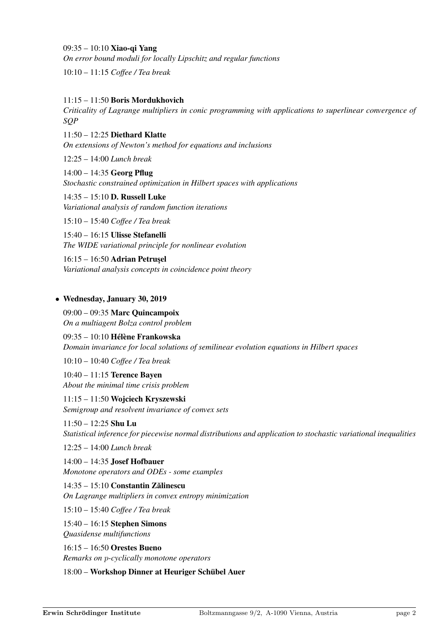09:35 – 10:10 Xiao-qi Yang *On error bound moduli for locally Lipschitz and regular functions*

10:10 – 11:15 *Coffee / Tea break*

11:15 – 11:50 Boris Mordukhovich *Criticality of Lagrange multipliers in conic programming with applications to superlinear convergence of SQP*

11:50 – 12:25 Diethard Klatte *On extensions of Newton's method for equations and inclusions*

12:25 – 14:00 *Lunch break*

14:00 – 14:35 Georg Pflug *Stochastic constrained optimization in Hilbert spaces with applications*

14:35 – 15:10 D. Russell Luke *Variational analysis of random function iterations*

15:10 – 15:40 *Coffee / Tea break*

15:40 – 16:15 Ulisse Stefanelli *The WIDE variational principle for nonlinear evolution*

16:15 – 16:50 Adrian Petrusel *Variational analysis concepts in coincidence point theory*

## • Wednesday, January 30, 2019

09:00 – 09:35 Marc Quincampoix *On a multiagent Bolza control problem*

 $09:35 - 10:10$  Hélène Frankowska *Domain invariance for local solutions of semilinear evolution equations in Hilbert spaces*

10:10 – 10:40 *Coffee / Tea break*

10:40 – 11:15 Terence Bayen *About the minimal time crisis problem*

11:15 – 11:50 Wojciech Kryszewski *Semigroup and resolvent invariance of convex sets*

11:50 – 12:25 Shu Lu *Statistical inference for piecewise normal distributions and application to stochastic variational inequalities*

12:25 – 14:00 *Lunch break*

14:00 – 14:35 Josef Hofbauer *Monotone operators and ODEs - some examples*

 $14:35 - 15:10$  Constantin Zălinescu *On Lagrange multipliers in convex entropy minimization*

15:10 – 15:40 *Coffee / Tea break*

15:40 – 16:15 Stephen Simons *Quasidense multifunctions*

16:15 – 16:50 Orestes Bueno *Remarks on* p*-cyclically monotone operators*

18:00 – Workshop Dinner at Heuriger Schübel Auer